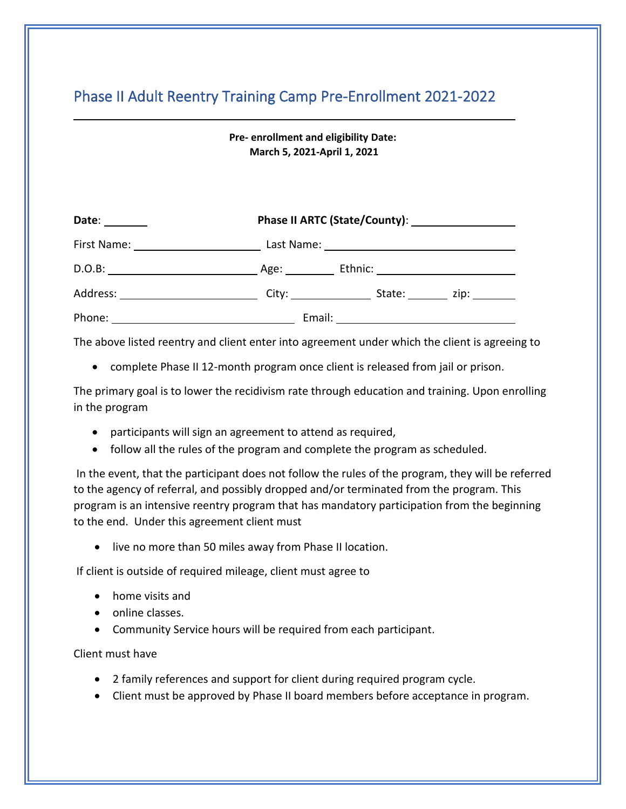# Phase II Adult Reentry Training Camp Pre-Enrollment 2021-2022

**Pre- enrollment and eligibility Date: March 5, 2021-April 1, 2021**

| Date:                                                                                                                                                                                                                          |               |                                                                                                                                                                                                                                |                                                                                                                  |  |
|--------------------------------------------------------------------------------------------------------------------------------------------------------------------------------------------------------------------------------|---------------|--------------------------------------------------------------------------------------------------------------------------------------------------------------------------------------------------------------------------------|------------------------------------------------------------------------------------------------------------------|--|
| First Name: 1997 March 1997 March 1997 March 1997 March 1997 March 1997 March 1997 March 1997 March 1997 March 1997 March 1997 March 1997 March 1997 March 1997 March 1997 March 1997 March 1997 March 1997 March 1997 March 1 |               |                                                                                                                                                                                                                                |                                                                                                                  |  |
| D.O.B:                                                                                                                                                                                                                         | Age: ________ | Ethnic: ___________________________                                                                                                                                                                                            |                                                                                                                  |  |
| Address:                                                                                                                                                                                                                       |               | State: The State of the State of the State of the State of the State of the State of the State of the State of the State of the State of the State of the State of the State of the State of the State of the State of the Sta | zip: will also a series a series and a series and a series and a series and a series of the series of the series |  |
| Phone:                                                                                                                                                                                                                         | Email:        |                                                                                                                                                                                                                                |                                                                                                                  |  |

The above listed reentry and client enter into agreement under which the client is agreeing to

• complete Phase II 12-month program once client is released from jail or prison.

The primary goal is to lower the recidivism rate through education and training. Upon enrolling in the program

- participants will sign an agreement to attend as required,
- follow all the rules of the program and complete the program as scheduled.

In the event, that the participant does not follow the rules of the program, they will be referred to the agency of referral, and possibly dropped and/or terminated from the program. This program is an intensive reentry program that has mandatory participation from the beginning to the end. Under this agreement client must

• live no more than 50 miles away from Phase II location.

If client is outside of required mileage, client must agree to

- home visits and
- online classes.
- Community Service hours will be required from each participant.

Client must have

- 2 family references and support for client during required program cycle.
- Client must be approved by Phase II board members before acceptance in program.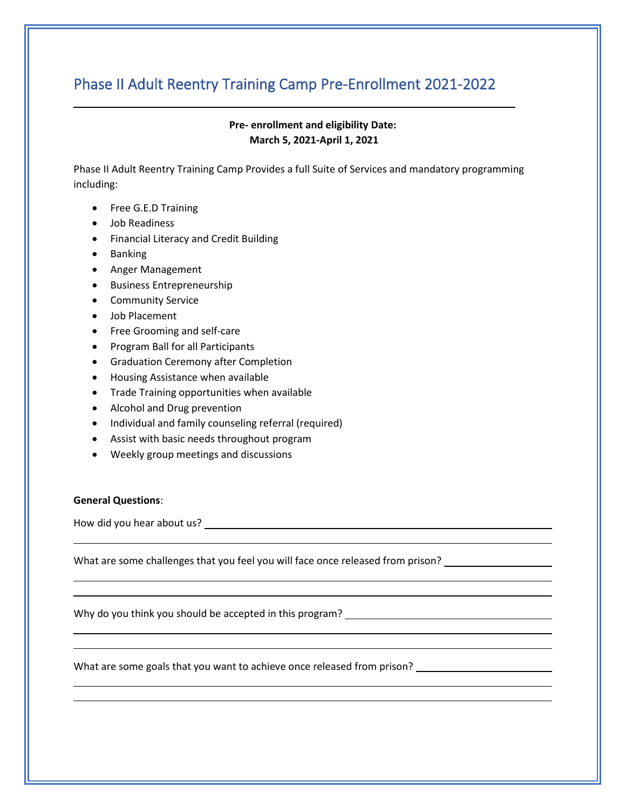## Phase II Adult Reentry Training Camp Pre-Enrollment 2021-2022

### **Pre- enrollment and eligibility Date: March 5, 2021-April 1, 2021**

Phase II Adult Reentry Training Camp Provides a full Suite of Services and mandatory programming including:

- Free G.E.D Training
- Job Readiness
- Financial Literacy and Credit Building
- Banking
- Anger Management
- Business Entrepreneurship
- Community Service
- Job Placement
- Free Grooming and self-care
- Program Ball for all Participants
- Graduation Ceremony after Completion
- Housing Assistance when available
- Trade Training opportunities when available
- Alcohol and Drug prevention
- Individual and family counseling referral (required)
- Assist with basic needs throughout program
- Weekly group meetings and discussions

#### **General Questions**:

How did you hear about us?

What are some challenges that you feel you will face once released from prison? \_\_\_\_\_\_

Why do you think you should be accepted in this program? \_\_\_\_

What are some goals that you want to achieve once released from prison?